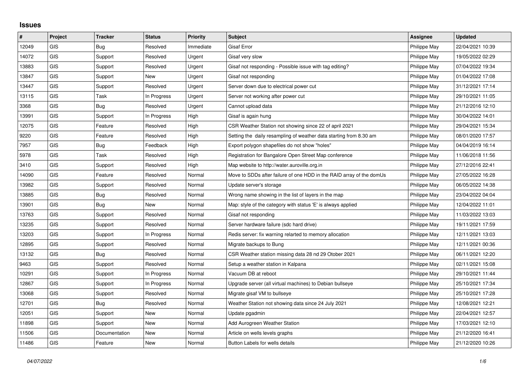## **Issues**

| $\vert$ # | Project    | <b>Tracker</b> | <b>Status</b> | <b>Priority</b> | <b>Subject</b>                                                       | Assignee     | <b>Updated</b>   |
|-----------|------------|----------------|---------------|-----------------|----------------------------------------------------------------------|--------------|------------------|
| 12049     | GIS        | Bug            | Resolved      | Immediate       | <b>Gisaf Error</b>                                                   | Philippe May | 22/04/2021 10:39 |
| 14072     | GIS        | Support        | Resolved      | Urgent          | Gisaf very slow                                                      | Philippe May | 19/05/2022 02:29 |
| 13883     | <b>GIS</b> | Support        | Resolved      | Urgent          | Gisaf not responding - Possible issue with tag editing?              | Philippe May | 07/04/2022 19:34 |
| 13847     | <b>GIS</b> | Support        | <b>New</b>    | Urgent          | Gisaf not responding                                                 | Philippe May | 01/04/2022 17:08 |
| 13447     | GIS        | Support        | Resolved      | Urgent          | Server down due to electrical power cut                              | Philippe May | 31/12/2021 17:14 |
| 13115     | <b>GIS</b> | Task           | In Progress   | Urgent          | Server not working after power cut                                   | Philippe May | 29/10/2021 11:05 |
| 3368      | <b>GIS</b> | Bug            | Resolved      | Urgent          | Cannot upload data                                                   | Philippe May | 21/12/2016 12:10 |
| 13991     | GIS        | Support        | In Progress   | High            | Gisaf is again hung                                                  | Philippe May | 30/04/2022 14:01 |
| 12075     | <b>GIS</b> | Feature        | Resolved      | High            | CSR Weather Station not showing since 22 of april 2021               | Philippe May | 29/04/2021 15:34 |
| 9220      | GIS        | Feature        | Resolved      | High            | Setting the daily resampling of weather data starting from 8.30 am   | Philippe May | 08/01/2020 17:57 |
| 7957      | <b>GIS</b> | Bug            | Feedback      | High            | Export polygon shapefiles do not show "holes"                        | Philippe May | 04/04/2019 16:14 |
| 5978      | <b>GIS</b> | Task           | Resolved      | High            | Registration for Bangalore Open Street Map conference                | Philippe May | 11/06/2018 11:56 |
| 3410      | GIS        | Support        | Resolved      | High            | Map website to http://water.auroville.org.in                         | Philippe May | 27/12/2016 22:41 |
| 14090     | <b>GIS</b> | Feature        | Resolved      | Normal          | Move to SDDs after failure of one HDD in the RAID array of the domUs | Philippe May | 27/05/2022 16:28 |
| 13982     | <b>GIS</b> | Support        | Resolved      | Normal          | Update server's storage                                              | Philippe May | 06/05/2022 14:38 |
| 13885     | GIS        | Bug            | Resolved      | Normal          | Wrong name showing in the list of layers in the map                  | Philippe May | 23/04/2022 04:04 |
| 13901     | <b>GIS</b> | Bug            | <b>New</b>    | Normal          | Map: style of the category with status 'E' is always applied         | Philippe May | 12/04/2022 11:01 |
| 13763     | GIS        | Support        | Resolved      | Normal          | Gisaf not responding                                                 | Philippe May | 11/03/2022 13:03 |
| 13235     | GIS        | Support        | Resolved      | Normal          | Server hardware failure (sdc hard drive)                             | Philippe May | 19/11/2021 17:59 |
| 13203     | <b>GIS</b> | Support        | In Progress   | Normal          | Redis server: fix warning relarted to memory allocation              | Philippe May | 12/11/2021 13:03 |
| 12895     | GIS        | Support        | Resolved      | Normal          | Migrate backups to Bung                                              | Philippe May | 12/11/2021 00:36 |
| 13132     | <b>GIS</b> | Bug            | Resolved      | Normal          | CSR Weather station missing data 28 nd 29 Otober 2021                | Philippe May | 06/11/2021 12:20 |
| 9463      | <b>GIS</b> | Support        | Resolved      | Normal          | Setup a weather station in Kalpana                                   | Philippe May | 02/11/2021 15:08 |
| 10291     | GIS        | Support        | In Progress   | Normal          | Vacuum DB at reboot                                                  | Philippe May | 29/10/2021 11:44 |
| 12867     | <b>GIS</b> | Support        | In Progress   | Normal          | Upgrade server (all virtual machines) to Debian bullseye             | Philippe May | 25/10/2021 17:34 |
| 13068     | <b>GIS</b> | Support        | Resolved      | Normal          | Migrate gisaf VM to bullseye                                         | Philippe May | 25/10/2021 17:28 |
| 12701     | GIS        | Bug            | Resolved      | Normal          | Weather Station not showing data since 24 July 2021                  | Philippe May | 12/08/2021 12:21 |
| 12051     | <b>GIS</b> | Support        | New           | Normal          | Update pgadmin                                                       | Philippe May | 22/04/2021 12:57 |
| 11898     | <b>GIS</b> | Support        | New           | Normal          | Add Aurogreen Weather Station                                        | Philippe May | 17/03/2021 12:10 |
| 11506     | <b>GIS</b> | Documentation  | <b>New</b>    | Normal          | Article on wells levels graphs                                       | Philippe May | 21/12/2020 16:41 |
| 11486     | GIS        | Feature        | New           | Normal          | Button Labels for wells details                                      | Philippe May | 21/12/2020 10:26 |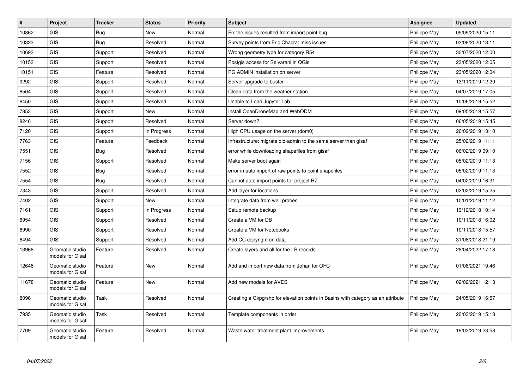| $\pmb{\#}$ | Project                             | <b>Tracker</b> | <b>Status</b> | <b>Priority</b> | <b>Subject</b>                                                                   | <b>Assignee</b> | <b>Updated</b>   |
|------------|-------------------------------------|----------------|---------------|-----------------|----------------------------------------------------------------------------------|-----------------|------------------|
| 10862      | <b>GIS</b>                          | Bug            | <b>New</b>    | Normal          | Fix the issues resulted from import point bug                                    | Philippe May    | 05/09/2020 15:11 |
| 10323      | <b>GIS</b>                          | <b>Bug</b>     | Resolved      | Normal          | Survey points from Eric Chacra: misc issues                                      | Philippe May    | 03/08/2020 13:11 |
| 10693      | GIS                                 | Support        | Resolved      | Normal          | Wrong geometry type for category R54                                             | Philippe May    | 30/07/2020 12:00 |
| 10153      | GIS                                 | Support        | Resolved      | Normal          | Postgis access for Selvarani in QGis                                             | Philippe May    | 23/05/2020 12:05 |
| 10151      | GIS                                 | Feature        | Resolved      | Normal          | PG ADMIN installation on server                                                  | Philippe May    | 23/05/2020 12:04 |
| 9292       | GIS                                 | Support        | Resolved      | Normal          | Server upgrade to buster                                                         | Philippe May    | 13/11/2019 12:29 |
| 8504       | <b>GIS</b>                          | Support        | Resolved      | Normal          | Clean data from the weather station                                              | Philippe May    | 04/07/2019 17:05 |
| 8450       | GIS                                 | Support        | Resolved      | Normal          | Unable to Load Jupyter Lab                                                       | Philippe May    | 10/06/2019 15:52 |
| 7853       | <b>GIS</b>                          | Support        | <b>New</b>    | Normal          | Install OpenDroneMap and WebODM                                                  | Philippe May    | 09/05/2019 15:57 |
| 8246       | GIS                                 | Support        | Resolved      | Normal          | Server down?                                                                     | Philippe May    | 06/05/2019 15:45 |
| 7120       | GIS                                 | Support        | In Progress   | Normal          | High CPU usage on the server (dom0)                                              | Philippe May    | 26/02/2019 13:10 |
| 7763       | GIS                                 | Feature        | Feedback      | Normal          | Infrastructure: migrate old-admin to the same server than gisaf                  | Philippe May    | 25/02/2019 11:11 |
| 7551       | GIS                                 | <b>Bug</b>     | Resolved      | Normal          | error while downloading shapefiles from gisaf                                    | Philippe May    | 06/02/2019 09:10 |
| 7156       | <b>GIS</b>                          | Support        | Resolved      | Normal          | Make server boot again                                                           | Philippe May    | 05/02/2019 11:13 |
| 7552       | GIS                                 | <b>Bug</b>     | Resolved      | Normal          | error in auto import of raw points to point shapefiles                           | Philippe May    | 05/02/2019 11:13 |
| 7554       | GIS                                 | Bug            | Resolved      | Normal          | Cannot auto import points for project RZ                                         | Philippe May    | 04/02/2019 16:31 |
| 7343       | GIS                                 | Support        | Resolved      | Normal          | Add layer for locations                                                          | Philippe May    | 02/02/2019 15:25 |
| 7402       | GIS                                 | Support        | New           | Normal          | Integrate data from well probes                                                  | Philippe May    | 10/01/2019 11:12 |
| 7161       | <b>GIS</b>                          | Support        | In Progress   | Normal          | Setup remote backup                                                              | Philippe May    | 19/12/2018 10:14 |
| 6954       | <b>GIS</b>                          | Support        | Resolved      | Normal          | Create a VM for DB                                                               | Philippe May    | 10/11/2018 16:02 |
| 6990       | GIS                                 | Support        | Resolved      | Normal          | Create a VM for Notebooks                                                        | Philippe May    | 10/11/2018 15:57 |
| 6494       | <b>GIS</b>                          | Support        | Resolved      | Normal          | Add CC copyright on data                                                         | Philippe May    | 31/08/2018 21:19 |
| 13968      | Geomatic studio<br>models for Gisaf | Feature        | Resolved      | Normal          | Create layers and all for the LB records                                         | Philippe May    | 28/04/2022 17:18 |
| 12646      | Geomatic studio<br>models for Gisaf | Feature        | New           | Normal          | Add and import new data from Johan for OFC                                       | Philippe May    | 01/08/2021 19:46 |
| 11678      | Geomatic studio<br>models for Gisaf | Feature        | <b>New</b>    | Normal          | Add new models for AVES                                                          | Philippe May    | 02/02/2021 12:13 |
| 8096       | Geomatic studio<br>models for Gisaf | Task           | Resolved      | Normal          | Creating a Gkpg/shp for elevation points in Basins with category as an attribute | Philippe May    | 24/05/2019 16:57 |
| 7935       | Geomatic studio<br>models for Gisaf | Task           | Resolved      | Normal          | Template components in order                                                     | Philippe May    | 20/03/2019 15:18 |
| 7709       | Geomatic studio<br>models for Gisaf | Feature        | Resolved      | Normal          | Waste water treatment plant improvements                                         | Philippe May    | 19/03/2019 23:58 |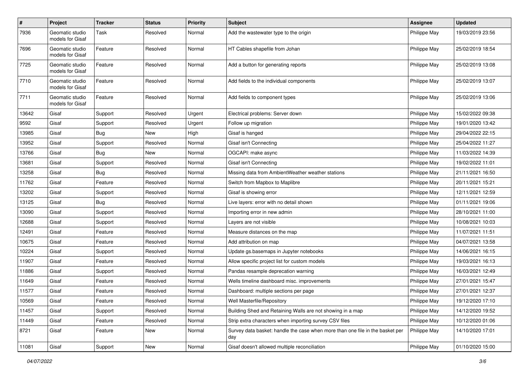| $\sharp$ | Project                             | <b>Tracker</b> | <b>Status</b> | <b>Priority</b> | <b>Subject</b>                                                                       | <b>Assignee</b> | <b>Updated</b>   |
|----------|-------------------------------------|----------------|---------------|-----------------|--------------------------------------------------------------------------------------|-----------------|------------------|
| 7936     | Geomatic studio<br>models for Gisaf | Task           | Resolved      | Normal          | Add the wastewater type to the origin                                                | Philippe May    | 19/03/2019 23:56 |
| 7696     | Geomatic studio<br>models for Gisaf | Feature        | Resolved      | Normal          | HT Cables shapefile from Johan                                                       | Philippe May    | 25/02/2019 18:54 |
| 7725     | Geomatic studio<br>models for Gisaf | Feature        | Resolved      | Normal          | Add a button for generating reports                                                  | Philippe May    | 25/02/2019 13:08 |
| 7710     | Geomatic studio<br>models for Gisaf | Feature        | Resolved      | Normal          | Add fields to the individual components                                              | Philippe May    | 25/02/2019 13:07 |
| 7711     | Geomatic studio<br>models for Gisaf | Feature        | Resolved      | Normal          | Add fields to component types                                                        | Philippe May    | 25/02/2019 13:06 |
| 13642    | Gisaf                               | Support        | Resolved      | Urgent          | Electrical problems: Server down                                                     | Philippe May    | 15/02/2022 09:38 |
| 9592     | Gisaf                               | Support        | Resolved      | Urgent          | Follow up migration                                                                  | Philippe May    | 19/01/2020 13:42 |
| 13985    | Gisaf                               | Bug            | <b>New</b>    | High            | Gisaf is hanged                                                                      | Philippe May    | 29/04/2022 22:15 |
| 13952    | Gisaf                               | Support        | Resolved      | Normal          | Gisaf isn't Connecting                                                               | Philippe May    | 25/04/2022 11:27 |
| 13766    | Gisaf                               | <b>Bug</b>     | New           | Normal          | OGCAPI: make async                                                                   | Philippe May    | 11/03/2022 14:39 |
| 13681    | Gisaf                               | Support        | Resolved      | Normal          | Gisaf isn't Connecting                                                               | Philippe May    | 19/02/2022 11:01 |
| 13258    | Gisaf                               | <b>Bug</b>     | Resolved      | Normal          | Missing data from AmbientWeather weather stations                                    | Philippe May    | 21/11/2021 16:50 |
| 11762    | Gisaf                               | Feature        | Resolved      | Normal          | Switch from Mapbox to Maplibre                                                       | Philippe May    | 20/11/2021 15:21 |
| 13202    | Gisaf                               | Support        | Resolved      | Normal          | Gisaf is showing error                                                               | Philippe May    | 12/11/2021 12:59 |
| 13125    | Gisaf                               | Bug            | Resolved      | Normal          | Live layers: error with no detail shown                                              | Philippe May    | 01/11/2021 19:06 |
| 13090    | Gisaf                               | Support        | Resolved      | Normal          | Importing error in new admin                                                         | Philippe May    | 28/10/2021 11:00 |
| 12688    | Gisaf                               | Support        | Resolved      | Normal          | Layers are not visible                                                               | Philippe May    | 10/08/2021 10:03 |
| 12491    | Gisaf                               | Feature        | Resolved      | Normal          | Measure distances on the map                                                         | Philippe May    | 11/07/2021 11:51 |
| 10675    | Gisaf                               | Feature        | Resolved      | Normal          | Add attribution on map                                                               | Philippe May    | 04/07/2021 13:58 |
| 10224    | Gisaf                               | Support        | Resolved      | Normal          | Update gs.basemaps in Jupyter notebooks                                              | Philippe May    | 14/06/2021 16:15 |
| 11907    | Gisaf                               | Feature        | Resolved      | Normal          | Allow specific project list for custom models                                        | Philippe May    | 19/03/2021 16:13 |
| 11886    | Gisaf                               | Support        | Resolved      | Normal          | Pandas resample deprecation warning                                                  | Philippe May    | 16/03/2021 12:49 |
| 11649    | Gisaf                               | Feature        | Resolved      | Normal          | Wells timeline dashboard misc. improvements                                          | Philippe May    | 27/01/2021 15:47 |
| 11577    | Gisaf                               | Feature        | Resolved      | Normal          | Dashboard: multiple sections per page                                                | Philippe May    | 27/01/2021 12:37 |
| 10569    | Gisaf                               | Feature        | Resolved      | Normal          | Well Masterfile/Repository                                                           | Philippe May    | 19/12/2020 17:10 |
| 11457    | Gisaf                               | Support        | Resolved      | Normal          | Building Shed and Retaining Walls are not showing in a map                           | Philippe May    | 14/12/2020 19:52 |
| 11449    | Gisaf                               | Feature        | Resolved      | Normal          | Strip extra characters when importing survey CSV files                               | Philippe May    | 10/12/2020 01:06 |
| 8721     | Gisaf                               | Feature        | New           | Normal          | Survey data basket: handle the case when more than one file in the basket per<br>day | Philippe May    | 14/10/2020 17:01 |
| 11081    | Gisaf                               | Support        | New           | Normal          | Gisaf doesn't allowed multiple reconciliation                                        | Philippe May    | 01/10/2020 15:00 |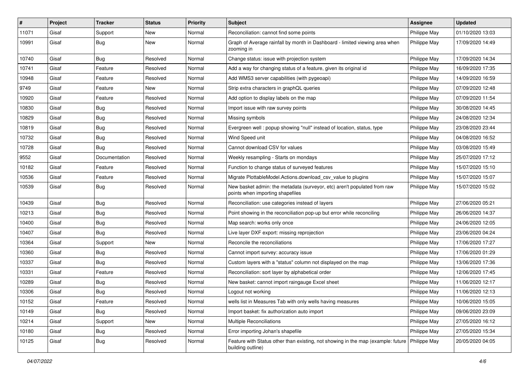| #     | Project | <b>Tracker</b> | <b>Status</b> | Priority | <b>Subject</b>                                                                                                       | <b>Assignee</b> | <b>Updated</b>   |
|-------|---------|----------------|---------------|----------|----------------------------------------------------------------------------------------------------------------------|-----------------|------------------|
| 11071 | Gisaf   | Support        | New           | Normal   | Reconciliation: cannot find some points                                                                              | Philippe May    | 01/10/2020 13:03 |
| 10991 | Gisaf   | <b>Bug</b>     | New           | Normal   | Graph of Average rainfall by month in Dashboard - limited viewing area when<br>zooming in                            | Philippe May    | 17/09/2020 14:49 |
| 10740 | Gisaf   | Bug            | Resolved      | Normal   | Change status: issue with projection system                                                                          | Philippe May    | 17/09/2020 14:34 |
| 10741 | Gisaf   | Feature        | Resolved      | Normal   | Add a way for changing status of a feature, given its original id                                                    | Philippe May    | 16/09/2020 17:35 |
| 10948 | Gisaf   | Feature        | Resolved      | Normal   | Add WMS3 server capabilities (with pygeoapi)                                                                         | Philippe May    | 14/09/2020 16:59 |
| 9749  | Gisaf   | Feature        | New           | Normal   | Strip extra characters in graphQL queries                                                                            | Philippe May    | 07/09/2020 12:48 |
| 10920 | Gisaf   | Feature        | Resolved      | Normal   | Add option to display labels on the map                                                                              | Philippe May    | 07/09/2020 11:54 |
| 10830 | Gisaf   | <b>Bug</b>     | Resolved      | Normal   | Import issue with raw survey points                                                                                  | Philippe May    | 30/08/2020 14:45 |
| 10829 | Gisaf   | <b>Bug</b>     | Resolved      | Normal   | Missing symbols                                                                                                      | Philippe May    | 24/08/2020 12:34 |
| 10819 | Gisaf   | Bug            | Resolved      | Normal   | Evergreen well: popup showing "null" instead of location, status, type                                               | Philippe May    | 23/08/2020 23:44 |
| 10732 | Gisaf   | <b>Bug</b>     | Resolved      | Normal   | Wind Speed unit                                                                                                      | Philippe May    | 04/08/2020 16:52 |
| 10728 | Gisaf   | <b>Bug</b>     | Resolved      | Normal   | Cannot download CSV for values                                                                                       | Philippe May    | 03/08/2020 15:49 |
| 9552  | Gisaf   | Documentation  | Resolved      | Normal   | Weekly resampling - Starts on mondays                                                                                | Philippe May    | 25/07/2020 17:12 |
| 10182 | Gisaf   | Feature        | Resolved      | Normal   | Function to change status of surveyed features                                                                       | Philippe May    | 15/07/2020 15:10 |
| 10536 | Gisaf   | Feature        | Resolved      | Normal   | Migrate PlottableModel.Actions.download_csv_value to plugins                                                         | Philippe May    | 15/07/2020 15:07 |
| 10539 | Gisaf   | <b>Bug</b>     | Resolved      | Normal   | New basket admin: the metadata (surveyor, etc) aren't populated from raw<br>points when importing shapefiles         | Philippe May    | 15/07/2020 15:02 |
| 10439 | Gisaf   | <b>Bug</b>     | Resolved      | Normal   | Reconciliation: use categories instead of layers                                                                     | Philippe May    | 27/06/2020 05:21 |
| 10213 | Gisaf   | <b>Bug</b>     | Resolved      | Normal   | Point showing in the reconciliation pop-up but error while reconciling                                               | Philippe May    | 26/06/2020 14:37 |
| 10400 | Gisaf   | <b>Bug</b>     | Resolved      | Normal   | Map search: works only once                                                                                          | Philippe May    | 24/06/2020 12:05 |
| 10407 | Gisaf   | Bug            | Resolved      | Normal   | Live layer DXF export: missing reprojection                                                                          | Philippe May    | 23/06/2020 04:24 |
| 10364 | Gisaf   | Support        | New           | Normal   | Reconcile the reconciliations                                                                                        | Philippe May    | 17/06/2020 17:27 |
| 10360 | Gisaf   | Bug            | Resolved      | Normal   | Cannot import survey: accuracy issue                                                                                 | Philippe May    | 17/06/2020 01:29 |
| 10337 | Gisaf   | <b>Bug</b>     | Resolved      | Normal   | Custom layers with a "status" column not displayed on the map                                                        | Philippe May    | 13/06/2020 17:36 |
| 10331 | Gisaf   | Feature        | Resolved      | Normal   | Reconciliation: sort layer by alphabetical order                                                                     | Philippe May    | 12/06/2020 17:45 |
| 10289 | Gisaf   | <b>Bug</b>     | Resolved      | Normal   | New basket: cannot import raingauge Excel sheet                                                                      | Philippe May    | 11/06/2020 12:17 |
| 10306 | Gisaf   | <b>Bug</b>     | Resolved      | Normal   | Logout not working                                                                                                   | Philippe May    | 11/06/2020 12:13 |
| 10152 | Gisaf   | Feature        | Resolved      | Normal   | wells list in Measures Tab with only wells having measures                                                           | Philippe May    | 10/06/2020 15:05 |
| 10149 | Gisaf   | <b>Bug</b>     | Resolved      | Normal   | Import basket: fix authorization auto import                                                                         | Philippe May    | 09/06/2020 23:09 |
| 10214 | Gisaf   | Support        | New           | Normal   | <b>Multiple Reconciliations</b>                                                                                      | Philippe May    | 27/05/2020 16:12 |
| 10180 | Gisaf   | <b>Bug</b>     | Resolved      | Normal   | Error importing Johan's shapefile                                                                                    | Philippe May    | 27/05/2020 15:34 |
| 10125 | Gisaf   | Bug            | Resolved      | Normal   | Feature with Status other than existing, not showing in the map (example: future   Philippe May<br>building outline) |                 | 20/05/2020 04:05 |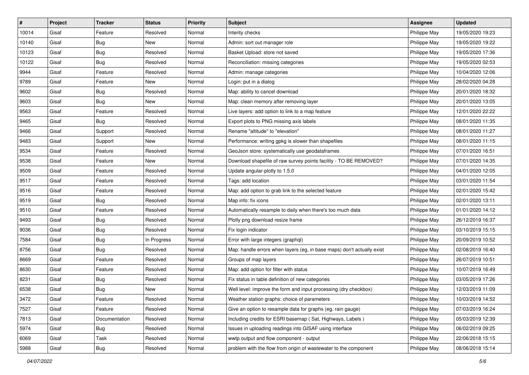| #     | Project | <b>Tracker</b> | <b>Status</b> | <b>Priority</b> | <b>Subject</b>                                                         | <b>Assignee</b> | <b>Updated</b>   |
|-------|---------|----------------|---------------|-----------------|------------------------------------------------------------------------|-----------------|------------------|
| 10014 | Gisaf   | Feature        | Resolved      | Normal          | Interity checks                                                        | Philippe May    | 19/05/2020 19:23 |
| 10140 | Gisaf   | Bug            | New           | Normal          | Admin: sort out manager role                                           | Philippe May    | 19/05/2020 19:22 |
| 10123 | Gisaf   | <b>Bug</b>     | Resolved      | Normal          | Basket Upload: store not saved                                         | Philippe May    | 19/05/2020 17:36 |
| 10122 | Gisaf   | <b>Bug</b>     | Resolved      | Normal          | Reconciliation: missing categories                                     | Philippe May    | 19/05/2020 02:53 |
| 9944  | Gisaf   | Feature        | Resolved      | Normal          | Admin: manage categories                                               | Philippe May    | 10/04/2020 12:06 |
| 9789  | Gisaf   | Feature        | New           | Normal          | Login: put in a dialog                                                 | Philippe May    | 28/02/2020 04:28 |
| 9602  | Gisaf   | <b>Bug</b>     | Resolved      | Normal          | Map: ability to cancel download                                        | Philippe May    | 20/01/2020 18:32 |
| 9603  | Gisaf   | <b>Bug</b>     | New           | Normal          | Map: clean memory after removing layer                                 | Philippe May    | 20/01/2020 13:05 |
| 9563  | Gisaf   | Feature        | Resolved      | Normal          | Live layers: add option to link to a map feature                       | Philippe May    | 12/01/2020 22:22 |
| 9465  | Gisaf   | <b>Bug</b>     | Resolved      | Normal          | Export plots to PNG missing axis labels                                | Philippe May    | 08/01/2020 11:35 |
| 9466  | Gisaf   | Support        | Resolved      | Normal          | Rename "altitude" to "elevation"                                       | Philippe May    | 08/01/2020 11:27 |
| 9483  | Gisaf   | Support        | New           | Normal          | Performance: writing gpkg is slower than shapefiles                    | Philippe May    | 08/01/2020 11:15 |
| 9534  | Gisaf   | Feature        | Resolved      | Normal          | GeoJson store: systematically use geodataframes                        | Philippe May    | 07/01/2020 16:51 |
| 9538  | Gisaf   | Feature        | New           | Normal          | Download shapefile of raw survey points facility - TO BE REMOVED?      | Philippe May    | 07/01/2020 14:35 |
| 9509  | Gisaf   | Feature        | Resolved      | Normal          | Update angular-plotly to 1.5.0                                         | Philippe May    | 04/01/2020 12:05 |
| 9517  | Gisaf   | Feature        | Resolved      | Normal          | Tags: add location                                                     | Philippe May    | 03/01/2020 11:54 |
| 9516  | Gisaf   | Feature        | Resolved      | Normal          | Map: add option to grab link to the selected feature                   | Philippe May    | 02/01/2020 15:42 |
| 9519  | Gisaf   | <b>Bug</b>     | Resolved      | Normal          | Map info: fix icons                                                    | Philippe May    | 02/01/2020 13:11 |
| 9510  | Gisaf   | Feature        | Resolved      | Normal          | Automatically resample to daily when there's too much data             | Philippe May    | 01/01/2020 14:12 |
| 9493  | Gisaf   | <b>Bug</b>     | Resolved      | Normal          | Plotly png download resize frame                                       | Philippe May    | 26/12/2019 16:37 |
| 9036  | Gisaf   | <b>Bug</b>     | Resolved      | Normal          | Fix login indicator                                                    | Philippe May    | 03/10/2019 15:15 |
| 7584  | Gisaf   | <b>Bug</b>     | In Progress   | Normal          | Error with large integers (graphql)                                    | Philippe May    | 20/09/2019 10:52 |
| 8756  | Gisaf   | Bug            | Resolved      | Normal          | Map: handle errors when layers (eg, in base maps) don't actually exist | Philippe May    | 02/08/2019 16:40 |
| 8669  | Gisaf   | Feature        | Resolved      | Normal          | Groups of map layers                                                   | Philippe May    | 26/07/2019 10:51 |
| 8630  | Gisaf   | Feature        | Resolved      | Normal          | Map: add option for filter with status                                 | Philippe May    | 10/07/2019 16:49 |
| 8231  | Gisaf   | <b>Bug</b>     | Resolved      | Normal          | Fix status in table definition of new categories                       | Philippe May    | 03/05/2019 17:26 |
| 6538  | Gisaf   | <b>Bug</b>     | <b>New</b>    | Normal          | Well level: improve the form and input processing (dry checkbox)       | Philippe May    | 12/03/2019 11:09 |
| 3472  | Gisaf   | Feature        | Resolved      | Normal          | Weather station graphs: choice of parameters                           | Philippe May    | 10/03/2019 14:52 |
| 7527  | Gisaf   | Feature        | Resolved      | Normal          | Give an option to resample data for graphs (eg. rain gauge)            | Philippe May    | 07/03/2019 16:24 |
| 7813  | Gisaf   | Documentation  | Resolved      | Normal          | Including credits for ESRI basemap (Sat, Highways, Labels)             | Philippe May    | 05/03/2019 12:39 |
| 5974  | Gisaf   | Bug            | Resolved      | Normal          | Issues in uploading readings into GISAF using interface                | Philippe May    | 06/02/2019 09:25 |
| 6069  | Gisaf   | Task           | Resolved      | Normal          | wwtp output and flow component - output                                | Philippe May    | 22/06/2018 15:15 |
| 5988  | Gisaf   | Bug            | Resolved      | Normal          | problem with the flow from origin of wastewater to the component       | Philippe May    | 08/06/2018 15:14 |